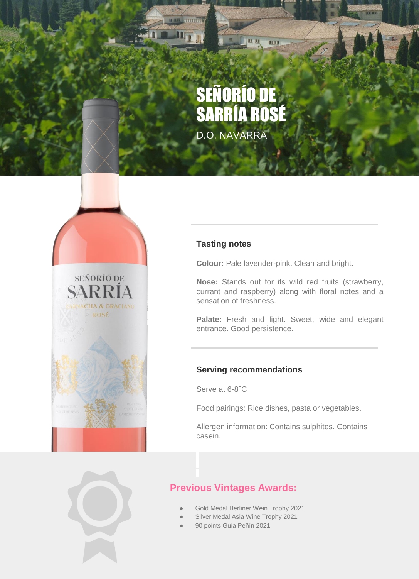# SEÑORÍO DE SARRÍA ROSÉ

LU

**LE BB** 

D.O. NAVARRA



#### **Tasting notes**

**Colour:** Pale lavender-pink. Clean and bright.

**Nose:** Stands out for its wild red fruits (strawberry, currant and raspberry) along with floral notes and a sensation of freshness.

Palate: Fresh and light. Sweet, wide and elegant entrance. Good persistence.

#### **Serving recommendations**

Serve at 6-8ºC

Food pairings: Rice dishes, pasta or vegetables.

Allergen information: Contains sulphites. Contains casein.



## **Previous Vintages Awards:**

- Gold Medal Berliner Wein Trophy 2021
- Silver Medal Asia Wine Trophy 2021
- 90 points Guia Peñín 2021